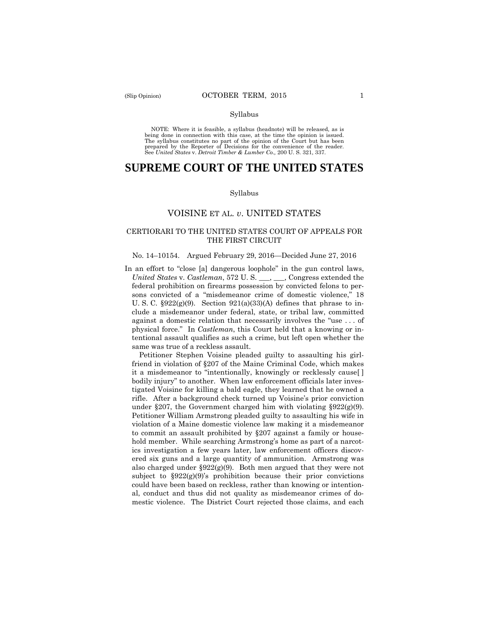#### Syllabus

 NOTE: Where it is feasible, a syllabus (headnote) will be released, as is being done in connection with this case, at the time the opinion is issued. The syllabus constitutes no part of the opinion of the Court but has been<br>prepared by the Reporter of Decisions for the convenience of the reader.<br>See United States v. Detroit Timber & Lumber Co., 200 U.S. 321, 337.

# **SUPREME COURT OF THE UNITED STATES**

#### Syllabus

## VOISINE ET AL. *v*. UNITED STATES

## CERTIORARI TO THE UNITED STATES COURT OF APPEALS FOR THE FIRST CIRCUIT

#### No. 14–10154. Argued February 29, 2016—Decided June 27, 2016

In an effort to "close [a] dangerous loophole" in the gun control laws, *United States* v. *Castleman*, 572 U. S. \_\_\_, \_\_\_, Congress extended the federal prohibition on firearms possession by convicted felons to persons convicted of a "misdemeanor crime of domestic violence," 18 U. S. C.  $\S 922(g)(9)$ . Section  $921(a)(33)(A)$  defines that phrase to include a misdemeanor under federal, state, or tribal law, committed against a domestic relation that necessarily involves the "use . . . of physical force." In *Castleman*, this Court held that a knowing or intentional assault qualifies as such a crime, but left open whether the same was true of a reckless assault.

 Petitioner Stephen Voisine pleaded guilty to assaulting his girlfriend in violation of §207 of the Maine Criminal Code, which makes it a misdemeanor to "intentionally, knowingly or recklessly cause[ ] bodily injury" to another. When law enforcement officials later investigated Voisine for killing a bald eagle, they learned that he owned a rifle. After a background check turned up Voisine's prior conviction under §207, the Government charged him with violating §922 $(g)(9)$ . Petitioner William Armstrong pleaded guilty to assaulting his wife in violation of a Maine domestic violence law making it a misdemeanor to commit an assault prohibited by §207 against a family or household member. While searching Armstrong's home as part of a narcotics investigation a few years later, law enforcement officers discovered six guns and a large quantity of ammunition. Armstrong was also charged under  $\S 922(g)(9)$ . Both men argued that they were not subject to  $\S 922(g)(9)$ 's prohibition because their prior convictions could have been based on reckless, rather than knowing or intentional, conduct and thus did not quality as misdemeanor crimes of domestic violence. The District Court rejected those claims, and each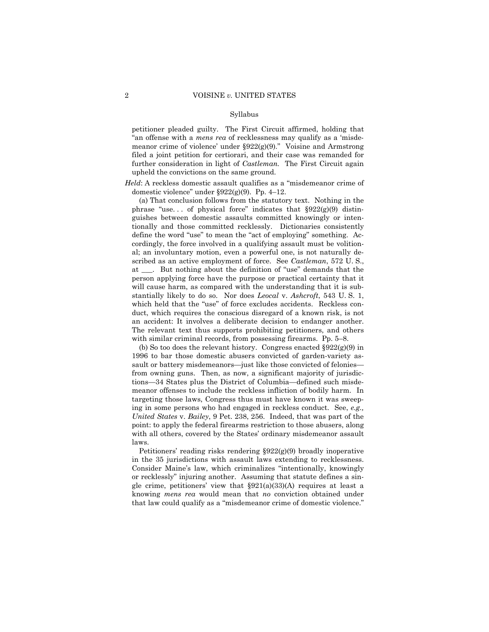#### Syllabus

 further consideration in light of *Castleman.* The First Circuit again petitioner pleaded guilty. The First Circuit affirmed, holding that "an offense with a *mens rea* of recklessness may qualify as a 'misdemeanor crime of violence' under §922(g)(9)." Voisine and Armstrong filed a joint petition for certiorari, and their case was remanded for upheld the convictions on the same ground.

*Held*: A reckless domestic assault qualifies as a "misdemeanor crime of domestic violence" under §922(g)(9). Pp. 4–12.

 which held that the "use" of force excludes accidents. Reckless con-(a) That conclusion follows from the statutory text. Nothing in the phrase "use... of physical force" indicates that  $\S 922(g)(9)$  distinguishes between domestic assaults committed knowingly or intentionally and those committed recklessly. Dictionaries consistently define the word "use" to mean the "act of employing" something. Accordingly, the force involved in a qualifying assault must be volitional; an involuntary motion, even a powerful one, is not naturally described as an active employment of force. See *Castleman*, 572 U. S., at \_\_\_. But nothing about the definition of "use" demands that the person applying force have the purpose or practical certainty that it will cause harm, as compared with the understanding that it is substantially likely to do so. Nor does *Leocal* v. *Ashcroft*, 543 U. S. 1, duct, which requires the conscious disregard of a known risk, is not an accident: It involves a deliberate decision to endanger another. The relevant text thus supports prohibiting petitioners, and others with similar criminal records, from possessing firearms. Pp. 5–8.

(b) So too does the relevant history. Congress enacted  $\S 922(g)(9)$  in 1996 to bar those domestic abusers convicted of garden-variety assault or battery misdemeanors—just like those convicted of felonies from owning guns. Then, as now, a significant majority of jurisdictions—34 States plus the District of Columbia—defined such misdemeanor offenses to include the reckless infliction of bodily harm. In targeting those laws, Congress thus must have known it was sweeping in some persons who had engaged in reckless conduct. See, *e.g., United States* v. *Bailey*, 9 Pet. 238, 256. Indeed, that was part of the point: to apply the federal firearms restriction to those abusers, along with all others, covered by the States' ordinary misdemeanor assault laws.

Petitioners' reading risks rendering §922(g)(9) broadly inoperative in the 35 jurisdictions with assault laws extending to recklessness. Consider Maine's law, which criminalizes "intentionally, knowingly or recklessly" injuring another. Assuming that statute defines a single crime, petitioners' view that  $\S 921(a)(33)(A)$  requires at least a knowing *mens rea* would mean that *no* conviction obtained under that law could qualify as a "misdemeanor crime of domestic violence."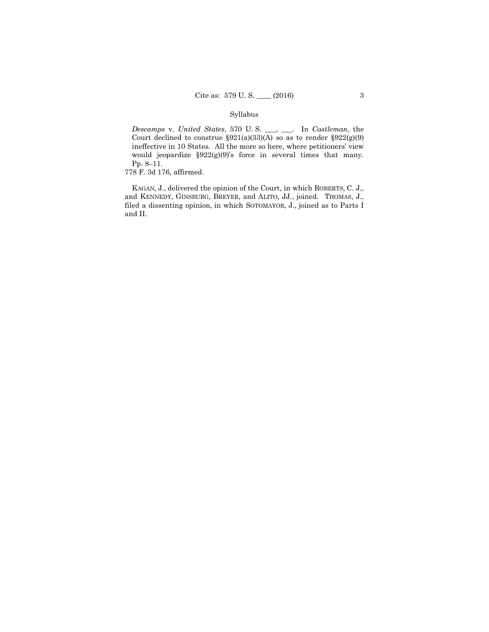## Syllabus

*Descamps* v. *United States*, 570 U. S. \_\_\_, \_\_\_. In *Castleman*, the Court declined to construe  $\S 921(a)(33)(A)$  so as to render  $\S 922(g)(9)$ ineffective in 10 States. All the more so here, where petitioners' view would jeopardize §922(g)(9)'s force in several times that many. Pp. 8–11.

778 F. 3d 176, affirmed.

 KAGAN, J., delivered the opinion of the Court, in which ROBERTS, C. J., and KENNEDY, GINSBURG, BREYER, and ALITO, JJ., joined. THOMAS, J., filed a dissenting opinion, in which SOTOMAYOR, J., joined as to Parts I and II.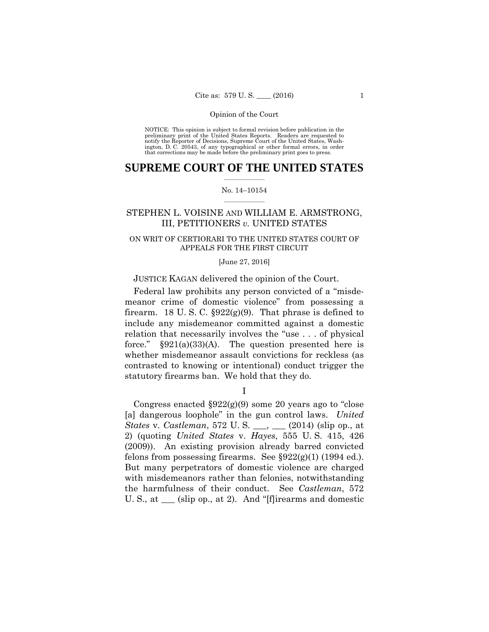preliminary print of the United States Reports. Readers are requested to notify the Reporter of Decisions, Supreme Court of the United States, Wash- ington, D. C. 20543, of any typographical or other formal errors, in order that corrections may be made before the preliminary print goes to press. NOTICE: This opinion is subject to formal revision before publication in the

## $\frac{1}{2}$  , where  $\frac{1}{2}$ **SUPREME COURT OF THE UNITED STATES**

### $\frac{1}{2}$  ,  $\frac{1}{2}$  ,  $\frac{1}{2}$  ,  $\frac{1}{2}$  ,  $\frac{1}{2}$  ,  $\frac{1}{2}$ No. 14–10154

## STEPHEN L. VOISINE AND WILLIAM E. ARMSTRONG, III, PETITIONERS *v.* UNITED STATES

## ON WRIT OF CERTIORARI TO THE UNITED STATES COURT OF APPEALS FOR THE FIRST CIRCUIT

#### [June 27, 2016]

## JUSTICE KAGAN delivered the opinion of the Court.

Federal law prohibits any person convicted of a "misdemeanor crime of domestic violence" from possessing a firearm. 18 U.S.C.  $\S 922(g)(9)$ . That phrase is defined to include any misdemeanor committed against a domestic relation that necessarily involves the "use . . . of physical force."  $\S 921(a)(33)(A)$ . The question presented here is whether misdemeanor assault convictions for reckless (as contrasted to knowing or intentional) conduct trigger the statutory firearms ban. We hold that they do.

I

Congress enacted  $\S 922(g)(9)$  some 20 years ago to "close" [a] dangerous loophole" in the gun control laws. *United States* v. *Castleman*, 572 U. S. \_\_\_, \_\_\_ (2014) (slip op., at 2) (quoting *United States* v. *Hayes*, 555 U. S. 415, 426 (2009)). An existing provision already barred convicted felons from possessing firearms. See  $\S 922(g)(1)$  (1994 ed.). But many perpetrators of domestic violence are charged with misdemeanors rather than felonies, notwithstanding the harmfulness of their conduct. See *Castleman*, 572 U. S., at \_\_\_ (slip op., at 2). And "[f]irearms and domestic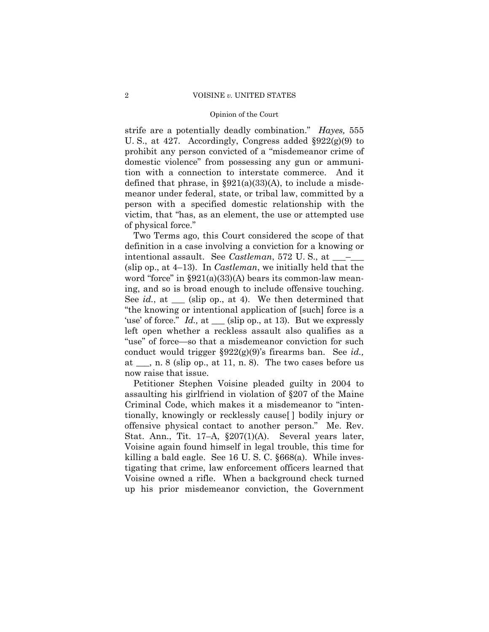strife are a potentially deadly combination." *Hayes,* 555 U. S., at 427. Accordingly, Congress added §922(g)(9) to prohibit any person convicted of a "misdemeanor crime of domestic violence" from possessing any gun or ammunition with a connection to interstate commerce. And it defined that phrase, in  $\S 921(a)(33)(A)$ , to include a misdemeanor under federal, state, or tribal law, committed by a person with a specified domestic relationship with the victim, that "has, as an element, the use or attempted use of physical force."

Two Terms ago, this Court considered the scope of that definition in a case involving a conviction for a knowing or intentional assault. See *Castleman*, 572 U.S., at \_\_\_ (slip op., at 4–13). In *Castleman*, we initially held that the word "force" in  $\S 921(a)(33)(A)$  bears its common-law meaning, and so is broad enough to include offensive touching. See *id.*, at \_\_\_ (slip op., at 4). We then determined that "the knowing or intentional application of [such] force is a 'use' of force." *Id.*, at \_\_\_ (slip op., at 13). But we expressly left open whether a reckless assault also qualifies as a "use" of force—so that a misdemeanor conviction for such conduct would trigger §922(g)(9)'s firearms ban. See *id.,*  at  $\_\_$ , n. 8 (slip op., at 11, n. 8). The two cases before us now raise that issue.

Petitioner Stephen Voisine pleaded guilty in 2004 to assaulting his girlfriend in violation of §207 of the Maine Criminal Code, which makes it a misdemeanor to "intentionally, knowingly or recklessly cause[ ] bodily injury or offensive physical contact to another person." Me. Rev. Stat. Ann., Tit. 17–A, §207(1)(A). Several years later, Voisine again found himself in legal trouble, this time for killing a bald eagle. See 16 U. S. C. §668(a). While investigating that crime, law enforcement officers learned that Voisine owned a rifle. When a background check turned up his prior misdemeanor conviction, the Government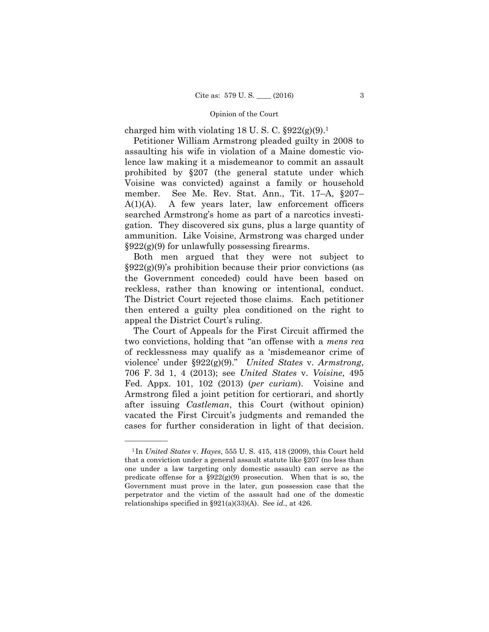charged him with violating 18 U.S.C.  $\S 922(g)(9)^1$ .

Petitioner William Armstrong pleaded guilty in 2008 to assaulting his wife in violation of a Maine domestic violence law making it a misdemeanor to commit an assault prohibited by §207 (the general statute under which Voisine was convicted) against a family or household member. See Me. Rev. Stat. Ann., Tit. 17–A, §207– A(1)(A). A few years later, law enforcement officers searched Armstrong's home as part of a narcotics investigation. They discovered six guns, plus a large quantity of ammunition. Like Voisine, Armstrong was charged under  $\S 922(g)(9)$  for unlawfully possessing firearms.

 reckless, rather than knowing or intentional, conduct. Both men argued that they were not subject to  $\S 922(g)(9)$ 's prohibition because their prior convictions (as the Government conceded) could have been based on The District Court rejected those claims. Each petitioner then entered a guilty plea conditioned on the right to appeal the District Court's ruling.

The Court of Appeals for the First Circuit affirmed the two convictions, holding that "an offense with a *mens rea*  of recklessness may qualify as a 'misdemeanor crime of violence' under §922(g)(9)." *United States* v. *Armstrong*, 706 F. 3d 1, 4 (2013); see *United States* v. *Voisine*, 495 Fed. Appx. 101, 102 (2013) (*per curiam*). Voisine and Armstrong filed a joint petition for certiorari, and shortly after issuing *Castleman*, this Court (without opinion) vacated the First Circuit's judgments and remanded the cases for further consideration in light of that decision.

<sup>1</sup> In *United States* v. *Hayes*, 555 U. S. 415, 418 (2009), this Court held that a conviction under a general assault statute like §207 (no less than one under a law targeting only domestic assault) can serve as the predicate offense for a  $\S 922(g)(9)$  prosecution. When that is so, the Government must prove in the later, gun possession case that the perpetrator and the victim of the assault had one of the domestic relationships specified in §921(a)(33)(A). See *id.,* at 426.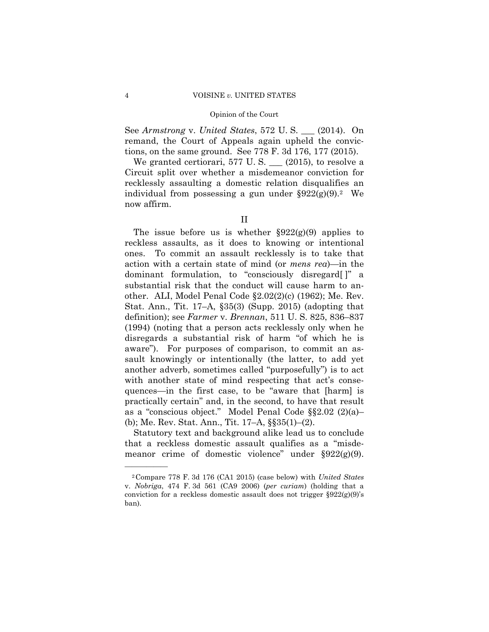See *Armstrong* v. *United States*, 572 U. S. \_\_\_ (2014). On remand, the Court of Appeals again upheld the convictions, on the same ground. See 778 F. 3d 176, 177 (2015).

individual from possessing a gun under  $\S 922(g)(9)$ .<sup>2</sup> We We granted certiorari, 577 U.S.  $\_\_$  (2015), to resolve a Circuit split over whether a misdemeanor conviction for recklessly assaulting a domestic relation disqualifies an now affirm.

The issue before us is whether  $\S 922(g)(9)$  applies to reckless assaults, as it does to knowing or intentional ones. To commit an assault recklessly is to take that action with a certain state of mind (or *mens rea*)—in the dominant formulation, to "consciously disregard[ ]" a substantial risk that the conduct will cause harm to another. ALI, Model Penal Code §2.02(2)(c) (1962); Me. Rev. Stat. Ann., Tit. 17–A, §35(3) (Supp. 2015) (adopting that definition); see *Farmer* v. *Brennan*, 511 U. S. 825, 836–837 (1994) (noting that a person acts recklessly only when he disregards a substantial risk of harm "of which he is aware"). For purposes of comparison, to commit an assault knowingly or intentionally (the latter, to add yet another adverb, sometimes called "purposefully") is to act with another state of mind respecting that act's consequences—in the first case, to be "aware that [harm] is practically certain" and, in the second, to have that result as a "conscious object." Model Penal Code §§2.02 (2)(a)– (b); Me. Rev. Stat. Ann., Tit. 17–A, §§35(1)–(2).

Statutory text and background alike lead us to conclude that a reckless domestic assault qualifies as a "misdemeanor crime of domestic violence" under §922(g)(9).

II

<sup>2</sup>Compare 778 F. 3d 176 (CA1 2015) (case below) with *United States*  v. *Nobriga*, 474 F. 3d 561 (CA9 2006) (*per curiam*) (holding that a conviction for a reckless domestic assault does not trigger  $\S 922(g)(9)$ 's ban).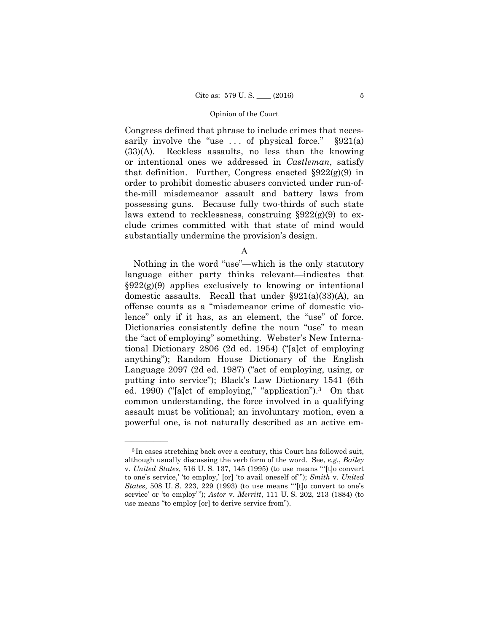Congress defined that phrase to include crimes that necessarily involve the "use ... of physical force."  $\S 921(a)$ (33)(A). Reckless assaults, no less than the knowing or intentional ones we addressed in *Castleman*, satisfy that definition. Further, Congress enacted  $\S 922(g)(9)$  in order to prohibit domestic abusers convicted under run-ofthe-mill misdemeanor assault and battery laws from possessing guns. Because fully two-thirds of such state laws extend to recklessness, construing  $\S 922(g)(9)$  to exclude crimes committed with that state of mind would substantially undermine the provision's design.

A

 ed. 1990) ("[a]ct of employing," "application").3 On that Nothing in the word "use"—which is the only statutory language either party thinks relevant—indicates that  $\S 922(g)(9)$  applies exclusively to knowing or intentional domestic assaults. Recall that under §921(a)(33)(A), an offense counts as a "misdemeanor crime of domestic violence" only if it has, as an element, the "use" of force. Dictionaries consistently define the noun "use" to mean the "act of employing" something. Webster's New International Dictionary 2806 (2d ed. 1954) ("[a]ct of employing anything"); Random House Dictionary of the English Language 2097 (2d ed. 1987) ("act of employing, using, or putting into service"); Black's Law Dictionary 1541 (6th common understanding, the force involved in a qualifying assault must be volitional; an involuntary motion, even a powerful one, is not naturally described as an active em-

<sup>3</sup> In cases stretching back over a century, this Court has followed suit, although usually discussing the verb form of the word. See, *e.g.*, *Bailey*  v. *United States*, 516 U. S. 137, 145 (1995) (to use means " '[t]o convert to one's service,' 'to employ,' [or] 'to avail oneself of' "); *Smith* v. *United States*, 508 U.S. 223, 229 (1993) (to use means "[t]o convert to one's service' or 'to employ' "); *Astor* v. *Merritt*, 111 U. S. 202, 213 (1884) (to use means "to employ [or] to derive service from").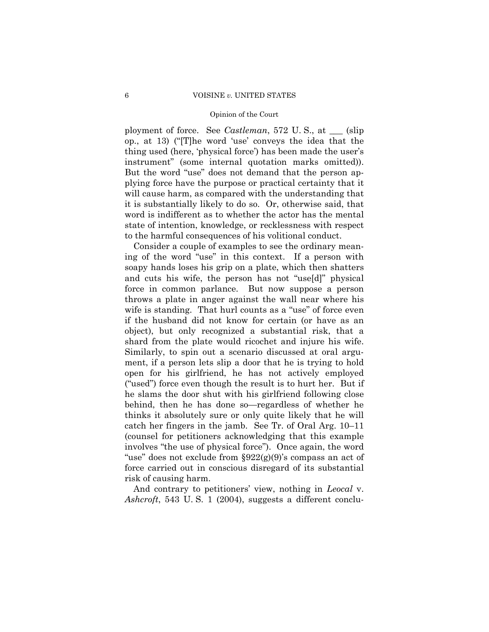ployment of force. See *Castleman*, 572 U. S., at \_\_\_ (slip op., at 13) ("[T]he word 'use' conveys the idea that the thing used (here, 'physical force') has been made the user's instrument" (some internal quotation marks omitted)). But the word "use" does not demand that the person applying force have the purpose or practical certainty that it will cause harm, as compared with the understanding that it is substantially likely to do so. Or, otherwise said, that word is indifferent as to whether the actor has the mental state of intention, knowledge, or recklessness with respect to the harmful consequences of his volitional conduct.

Consider a couple of examples to see the ordinary meaning of the word "use" in this context. If a person with soapy hands loses his grip on a plate, which then shatters and cuts his wife, the person has not "use[d]" physical force in common parlance. But now suppose a person throws a plate in anger against the wall near where his wife is standing. That hurl counts as a "use" of force even if the husband did not know for certain (or have as an object), but only recognized a substantial risk, that a shard from the plate would ricochet and injure his wife. Similarly, to spin out a scenario discussed at oral argument, if a person lets slip a door that he is trying to hold open for his girlfriend, he has not actively employed ("used") force even though the result is to hurt her. But if he slams the door shut with his girlfriend following close behind, then he has done so—regardless of whether he thinks it absolutely sure or only quite likely that he will catch her fingers in the jamb. See Tr. of Oral Arg. 10–11 (counsel for petitioners acknowledging that this example involves "the use of physical force"). Once again, the word "use" does not exclude from  $\S 922(g)(9)$ 's compass an act of force carried out in conscious disregard of its substantial risk of causing harm.

And contrary to petitioners' view, nothing in *Leocal* v. *Ashcroft*, 543 U. S. 1 (2004), suggests a different conclu-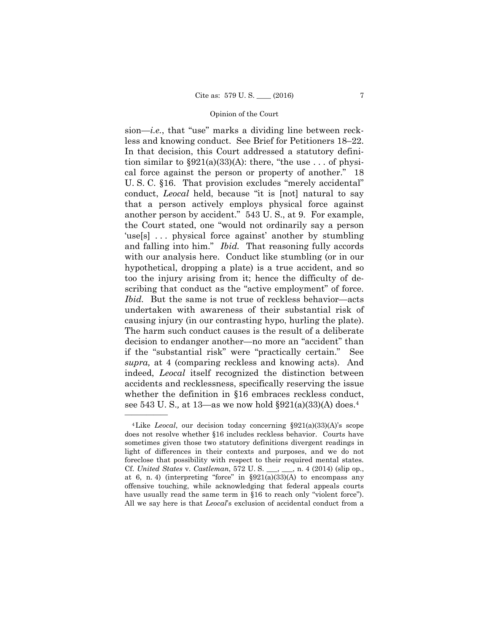sion—*i.e.*, that "use" marks a dividing line between reckless and knowing conduct. See Brief for Petitioners 18–22. In that decision, this Court addressed a statutory definition similar to  $\S 921(a)(33)(A)$ : there, "the use ... of physical force against the person or property of another." 18 U. S. C. §16. That provision excludes "merely accidental" conduct, *Leocal* held, because "it is [not] natural to say that a person actively employs physical force against another person by accident." 543 U. S., at 9. For example, the Court stated, one "would not ordinarily say a person 'use[s] ... physical force against' another by stumbling and falling into him." *Ibid.* That reasoning fully accords with our analysis here. Conduct like stumbling (or in our hypothetical, dropping a plate) is a true accident, and so too the injury arising from it; hence the difficulty of describing that conduct as the "active employment" of force. *Ibid.* But the same is not true of reckless behavior—acts undertaken with awareness of their substantial risk of causing injury (in our contrasting hypo, hurling the plate). The harm such conduct causes is the result of a deliberate decision to endanger another—no more an "accident" than if the "substantial risk" were "practically certain." See *supra,* at 4 (comparing reckless and knowing acts). And indeed, *Leocal* itself recognized the distinction between accidents and recklessness, specifically reserving the issue whether the definition in §16 embraces reckless conduct, see 543 U. S.*,* at 13—as we now hold §921(a)(33)(A) does.4

<sup>4</sup>Like *Leocal*, our decision today concerning §921(a)(33)(A)'s scope does not resolve whether §16 includes reckless behavior. Courts have sometimes given those two statutory definitions divergent readings in light of differences in their contexts and purposes, and we do not foreclose that possibility with respect to their required mental states. Cf. *United States* v. *Castleman*, 572 U. S. \_\_\_, \_\_\_, n. 4 (2014) (slip op., at 6, n. 4) (interpreting "force" in  $\S 921(a)(33)(A)$  to encompass any offensive touching, while acknowledging that federal appeals courts have usually read the same term in §16 to reach only "violent force"). All we say here is that *Leocal*'s exclusion of accidental conduct from a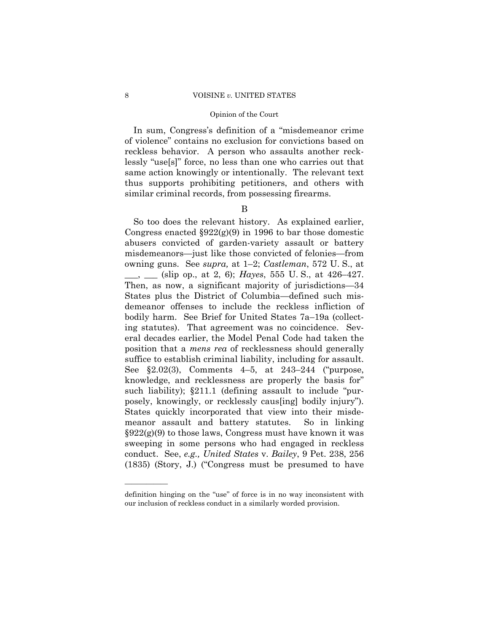In sum, Congress's definition of a "misdemeanor crime of violence" contains no exclusion for convictions based on reckless behavior. A person who assaults another recklessly "use[s]" force, no less than one who carries out that same action knowingly or intentionally. The relevant text thus supports prohibiting petitioners, and others with similar criminal records, from possessing firearms.

## B

So too does the relevant history. As explained earlier, Congress enacted  $\S 922(g)(9)$  in 1996 to bar those domestic abusers convicted of garden-variety assault or battery misdemeanors—just like those convicted of felonies—from owning guns. See *supra,* at 1–2; *Castleman*, 572 U. S., at \_\_\_, \_\_\_ (slip op., at 2, 6); *Hayes*, 555 U. S., at 426–427. Then, as now, a significant majority of jurisdictions—34 States plus the District of Columbia—defined such misdemeanor offenses to include the reckless infliction of bodily harm. See Brief for United States 7a–19a (collecting statutes). That agreement was no coincidence. Several decades earlier, the Model Penal Code had taken the position that a *mens rea* of recklessness should generally suffice to establish criminal liability, including for assault. See §2.02(3), Comments 4–5, at 243–244 ("purpose, knowledge, and recklessness are properly the basis for" such liability); §211.1 (defining assault to include "purposely, knowingly, or recklessly caus[ing] bodily injury"). States quickly incorporated that view into their misdemeanor assault and battery statutes. So in linking  $\S 922(g)(9)$  to those laws, Congress must have known it was sweeping in some persons who had engaged in reckless conduct. See, *e.g., United States* v. *Bailey*, 9 Pet. 238, 256 (1835) (Story, J.) ("Congress must be presumed to have

definition hinging on the "use" of force is in no way inconsistent with our inclusion of reckless conduct in a similarly worded provision.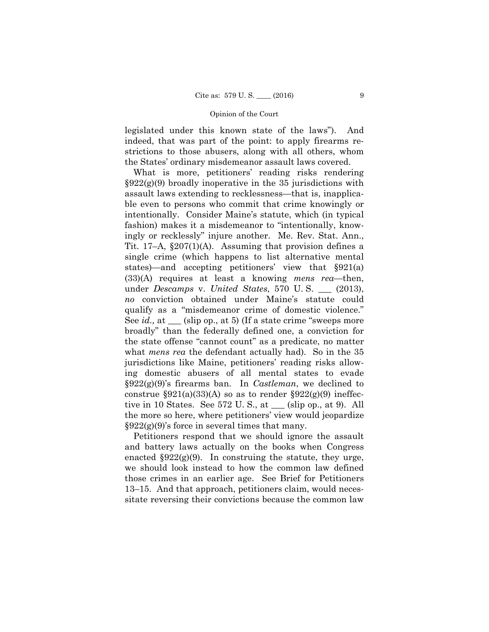legislated under this known state of the laws"). And indeed, that was part of the point: to apply firearms restrictions to those abusers, along with all others, whom the States' ordinary misdemeanor assault laws covered.

What is more, petitioners' reading risks rendering  $\S 922(g)(9)$  broadly inoperative in the 35 jurisdictions with assault laws extending to recklessness—that is, inapplicable even to persons who commit that crime knowingly or intentionally. Consider Maine's statute, which (in typical fashion) makes it a misdemeanor to "intentionally, knowingly or recklessly" injure another. Me. Rev. Stat. Ann., Tit. 17–A, §207(1)(A). Assuming that provision defines a single crime (which happens to list alternative mental states)—and accepting petitioners' view that §921(a) (33)(A) requires at least a knowing *mens rea*—then, under *Descamps* v. *United States*, 570 U. S. \_\_\_ (2013), *no* conviction obtained under Maine's statute could qualify as a "misdemeanor crime of domestic violence." See *id.,* at \_\_\_ (slip op., at 5) (If a state crime "sweeps more broadly" than the federally defined one, a conviction for the state offense "cannot count" as a predicate, no matter what *mens rea* the defendant actually had). So in the 35 jurisdictions like Maine, petitioners' reading risks allowing domestic abusers of all mental states to evade §922(g)(9)'s firearms ban. In *Castleman*, we declined to construe  $\S 921(a)(33)(A)$  so as to render  $\S 922(g)(9)$  ineffective in 10 States. See 572 U. S., at \_\_\_ (slip op., at 9). All the more so here, where petitioners' view would jeopardize  $\S 922(g)(9)$ 's force in several times that many.

Petitioners respond that we should ignore the assault and battery laws actually on the books when Congress enacted  $\S 922(g)(9)$ . In construing the statute, they urge, we should look instead to how the common law defined those crimes in an earlier age. See Brief for Petitioners 13–15. And that approach, petitioners claim, would necessitate reversing their convictions because the common law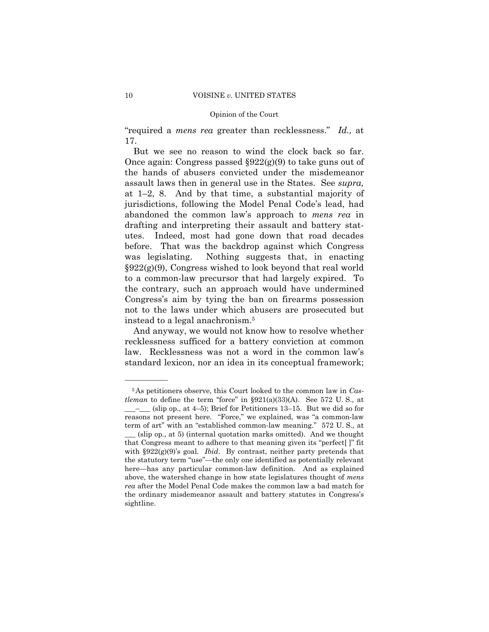#### 10 VOISINE *v*. UNITED STATES

## Opinion of the Court

"required a *mens rea* greater than recklessness." *Id.,* at 17.

But we see no reason to wind the clock back so far. Once again: Congress passed  $\S 922(g)(9)$  to take guns out of the hands of abusers convicted under the misdemeanor assault laws then in general use in the States. See *supra,*  at 1–2, 8. And by that time, a substantial majority of jurisdictions, following the Model Penal Code's lead, had abandoned the common law's approach to *mens rea* in drafting and interpreting their assault and battery statutes. Indeed, most had gone down that road decades before. That was the backdrop against which Congress was legislating. Nothing suggests that, in enacting §922(g)(9), Congress wished to look beyond that real world to a common-law precursor that had largely expired. To the contrary, such an approach would have undermined Congress's aim by tying the ban on firearms possession not to the laws under which abusers are prosecuted but instead to a legal anachronism.5

And anyway, we would not know how to resolve whether recklessness sufficed for a battery conviction at common law. Recklessness was not a word in the common law's standard lexicon, nor an idea in its conceptual framework;

<sup>5</sup>As petitioners observe, this Court looked to the common law in *Castleman* to define the term "force" in §921(a)(33)(A). See 572 U. S., at  $\_\_\_\_\$  (slip op., at 4–5); Brief for Petitioners 13–15. But we did so for reasons not present here. "Force," we explained, was "a common-law term of art" with an "established common-law meaning." 572 U. S.*,* at (slip op., at 5) (internal quotation marks omitted). And we thought that Congress meant to adhere to that meaning given its "perfect[ ]" fit with §922(g)(9)'s goal. *Ibid*. By contrast, neither party pretends that the statutory term "use"—the only one identified as potentially relevant here—has any particular common-law definition. And as explained above, the watershed change in how state legislatures thought of *mens rea* after the Model Penal Code makes the common law a bad match for the ordinary misdemeanor assault and battery statutes in Congress's sightline.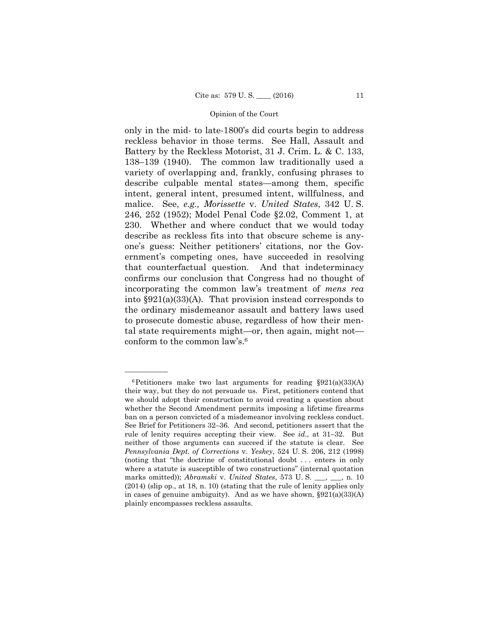only in the mid- to late-1800's did courts begin to address reckless behavior in those terms. See Hall, Assault and Battery by the Reckless Motorist, 31 J. Crim. L. & C. 133, 138–139 (1940). The common law traditionally used a variety of overlapping and, frankly, confusing phrases to describe culpable mental states—among them, specific intent, general intent, presumed intent, willfulness, and malice. See, *e.g., Morissette* v. *United States*, 342 U. S. 246, 252 (1952); Model Penal Code §2.02, Comment 1, at 230. Whether and where conduct that we would today describe as reckless fits into that obscure scheme is anyone's guess: Neither petitioners' citations, nor the Government's competing ones, have succeeded in resolving that counterfactual question. And that indeterminacy confirms our conclusion that Congress had no thought of incorporating the common law's treatment of *mens rea*  into §921(a)(33)(A). That provision instead corresponds to the ordinary misdemeanor assault and battery laws used to prosecute domestic abuse, regardless of how their mental state requirements might—or, then again, might not conform to the common law's.6

 $6$ Petitioners make two last arguments for reading  $\S 921(a)(33)(A)$ their way, but they do not persuade us. First, petitioners contend that we should adopt their construction to avoid creating a question about whether the Second Amendment permits imposing a lifetime firearms ban on a person convicted of a misdemeanor involving reckless conduct. See Brief for Petitioners 32–36. And second, petitioners assert that the rule of lenity requires accepting their view. See *id.,* at 31–32. But neither of those arguments can succeed if the statute is clear. See *Pennsylvania Dept. of Corrections* v. *Yeskey*, 524 U. S. 206, 212 (1998) (noting that "the doctrine of constitutional doubt . . . enters in only where a statute is susceptible of two constructions" (internal quotation marks omitted)); *Abramski* v. *United States*, 573 U. S. \_\_\_, \_\_\_, n. 10 (2014) (slip op., at 18, n. 10) (stating that the rule of lenity applies only in cases of genuine ambiguity). And as we have shown,  $\S 921(a)(33)(A)$ plainly encompasses reckless assaults.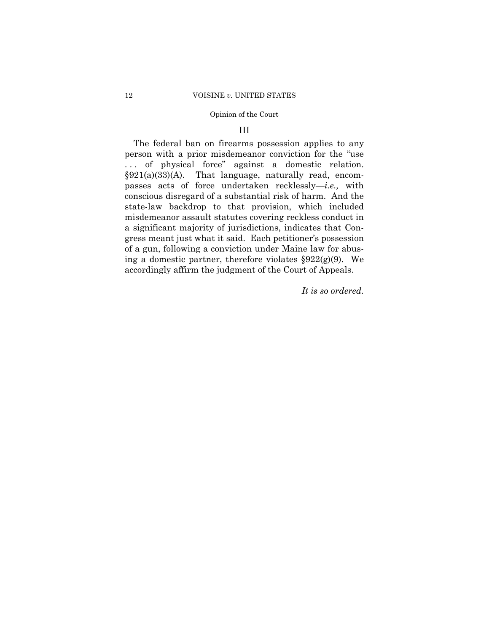## III

The federal ban on firearms possession applies to any person with a prior misdemeanor conviction for the "use . . . of physical force" against a domestic relation. §921(a)(33)(A). That language, naturally read, encompasses acts of force undertaken recklessly—*i.e.,* with conscious disregard of a substantial risk of harm. And the state-law backdrop to that provision, which included misdemeanor assault statutes covering reckless conduct in a significant majority of jurisdictions, indicates that Congress meant just what it said. Each petitioner's possession of a gun, following a conviction under Maine law for abusing a domestic partner, therefore violates  $\S 922(g)(9)$ . We accordingly affirm the judgment of the Court of Appeals.

*It is so ordered.*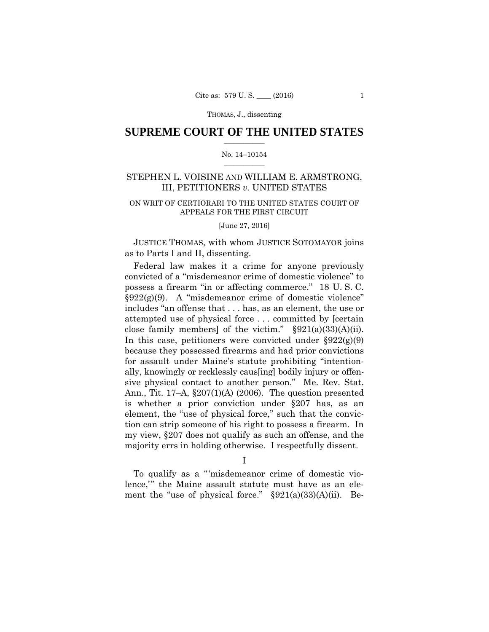## $\frac{1}{2}$  , where  $\frac{1}{2}$ **SUPREME COURT OF THE UNITED STATES**

### $\frac{1}{2}$  ,  $\frac{1}{2}$  ,  $\frac{1}{2}$  ,  $\frac{1}{2}$  ,  $\frac{1}{2}$  ,  $\frac{1}{2}$ No. 14–10154

## STEPHEN L. VOISINE AND WILLIAM E. ARMSTRONG, III, PETITIONERS *v.* UNITED STATES

## ON WRIT OF CERTIORARI TO THE UNITED STATES COURT OF APPEALS FOR THE FIRST CIRCUIT

[June 27, 2016]

JUSTICE THOMAS, with whom JUSTICE SOTOMAYOR joins as to Parts I and II, dissenting.

Federal law makes it a crime for anyone previously convicted of a "misdemeanor crime of domestic violence" to possess a firearm "in or affecting commerce." 18 U. S. C.  $\S 922(g)(9)$ . A "misdemeanor crime of domestic violence" includes "an offense that . . . has, as an element, the use or attempted use of physical force . . . committed by [certain close family members] of the victim."  $\S 921(a)(33)(A)(ii)$ . In this case, petitioners were convicted under  $\S 922(g)(9)$ because they possessed firearms and had prior convictions for assault under Maine's statute prohibiting "intentionally, knowingly or recklessly caus[ing] bodily injury or offensive physical contact to another person." Me. Rev. Stat. Ann., Tit. 17–A, §207(1)(A) (2006). The question presented is whether a prior conviction under §207 has, as an element, the "use of physical force," such that the conviction can strip someone of his right to possess a firearm. In my view, §207 does not qualify as such an offense, and the majority errs in holding otherwise. I respectfully dissent.

I

To qualify as a "'misdemeanor crime of domestic violence,'" the Maine assault statute must have as an element the "use of physical force." §921(a)(33)(A)(ii). Be-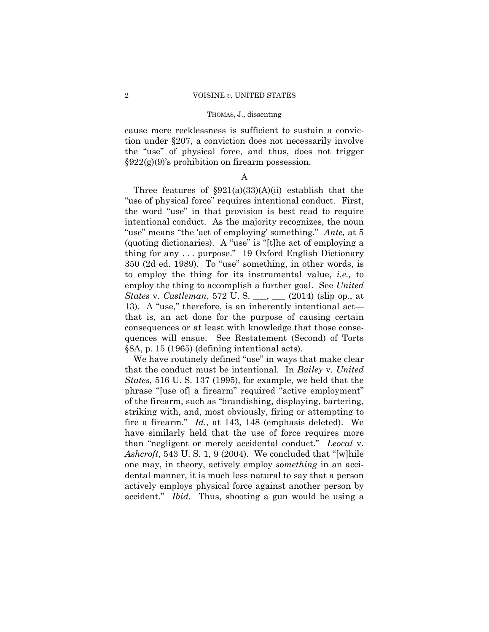cause mere recklessness is sufficient to sustain a conviction under §207, a conviction does not necessarily involve the "use" of physical force, and thus, does not trigger §922(g)(9)'s prohibition on firearm possession.

## A

Three features of  $\S 921(a)(33)(A)(ii)$  establish that the "use of physical force" requires intentional conduct. First, the word "use" in that provision is best read to require intentional conduct. As the majority recognizes, the noun "use" means "the 'act of employing' something." *Ante,* at 5 (quoting dictionaries). A "use" is "[t]he act of employing a thing for any . . . purpose." 19 Oxford English Dictionary 350 (2d ed. 1989). To "use" something, in other words, is to employ the thing for its instrumental value, *i.e.,* to employ the thing to accomplish a further goal. See *United States* v. *Castleman*, 572 U. S. \_\_\_, \_\_\_ (2014) (slip op., at 13). A "use," therefore, is an inherently intentional act that is, an act done for the purpose of causing certain consequences or at least with knowledge that those consequences will ensue. See Restatement (Second) of Torts §8A, p. 15 (1965) (defining intentional acts).

We have routinely defined "use" in ways that make clear that the conduct must be intentional. In *Bailey* v. *United States*, 516 U. S. 137 (1995), for example, we held that the phrase "[use of] a firearm" required "active employment" of the firearm, such as "brandishing, displaying, bartering, striking with, and, most obviously, firing or attempting to fire a firearm." *Id.,* at 143, 148 (emphasis deleted). We have similarly held that the use of force requires more than "negligent or merely accidental conduct." *Leocal* v. *Ashcroft*, 543 U. S. 1, 9 (2004). We concluded that "[w]hile one may, in theory, actively employ *something* in an accidental manner, it is much less natural to say that a person actively employs physical force against another person by accident." *Ibid.* Thus, shooting a gun would be using a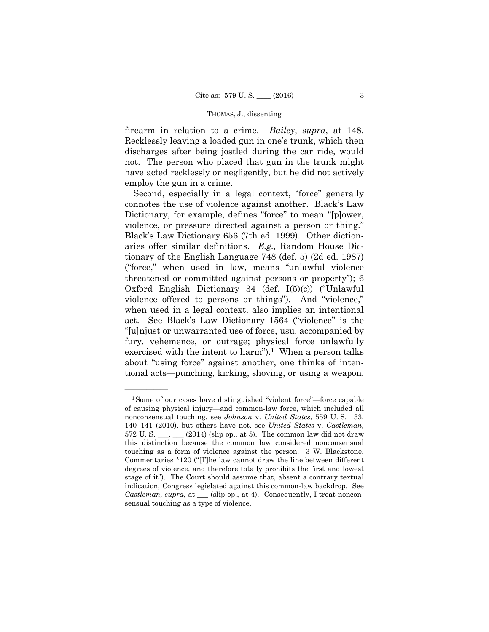firearm in relation to a crime. *Bailey*, *supra*, at 148. Recklessly leaving a loaded gun in one's trunk, which then discharges after being jostled during the car ride, would not. The person who placed that gun in the trunk might have acted recklessly or negligently, but he did not actively employ the gun in a crime.

tional acts—punching, kicking, shoving, or using a weapon.<br>———————————————————— Second, especially in a legal context, "force" generally connotes the use of violence against another. Black's Law Dictionary, for example, defines "force" to mean "[p]ower, violence, or pressure directed against a person or thing." Black's Law Dictionary 656 (7th ed. 1999). Other dictionaries offer similar definitions. *E.g.,* Random House Dictionary of the English Language 748 (def. 5) (2d ed. 1987) ("force," when used in law, means "unlawful violence threatened or committed against persons or property"); 6 Oxford English Dictionary 34 (def. I(5)(c)) ("Unlawful violence offered to persons or things"). And "violence," when used in a legal context, also implies an intentional act. See Black's Law Dictionary 1564 ("violence" is the "[u]njust or unwarranted use of force, usu. accompanied by fury, vehemence, or outrage; physical force unlawfully exercised with the intent to harm").<sup>1</sup> When a person talks about "using force" against another, one thinks of inten-

<sup>1</sup>Some of our cases have distinguished "violent force"—force capable of causing physical injury—and common-law force, which included all nonconsensual touching, see *Johnson* v. *United States*, 559 U. S. 133, 140–141 (2010), but others have not, see *United States* v. *Castleman*, 572 U.S.  $\frac{1}{2}$ ,  $\frac{1}{2}$  (2014) (slip op., at 5). The common law did not draw this distinction because the common law considered nonconsensual touching as a form of violence against the person. 3 W. Blackstone, Commentaries \*120 ("[T]he law cannot draw the line between different degrees of violence, and therefore totally prohibits the first and lowest stage of it"). The Court should assume that, absent a contrary textual indication, Congress legislated against this common-law backdrop. See *Castleman, supra, at* \_\_\_ (slip op., at 4). Consequently, I treat nonconsensual touching as a type of violence.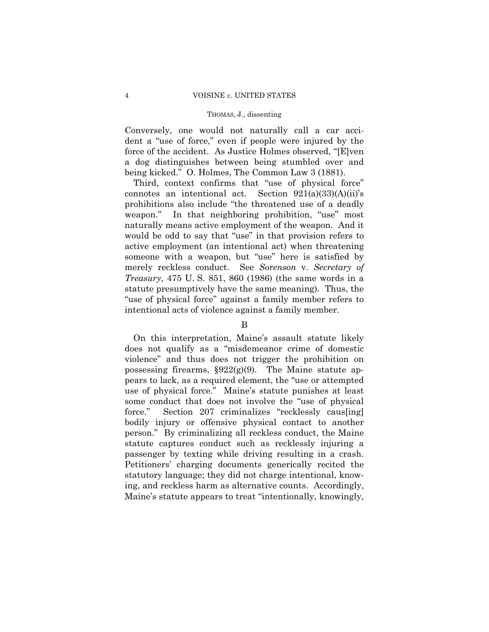Conversely, one would not naturally call a car accident a "use of force," even if people were injured by the force of the accident. As Justice Holmes observed, "[E]ven a dog distinguishes between being stumbled over and being kicked." O. Holmes, The Common Law 3 (1881).

Third, context confirms that "use of physical force" connotes an intentional act. Section  $921(a)(33)(A)(ii)$ 's prohibitions also include "the threatened use of a deadly weapon." In that neighboring prohibition, "use" most naturally means active employment of the weapon. And it would be odd to say that "use" in that provision refers to active employment (an intentional act) when threatening someone with a weapon, but "use" here is satisfied by merely reckless conduct. See *Sorenson* v. *Secretary of Treasury*, 475 U. S. 851, 860 (1986) (the same words in a statute presumptively have the same meaning). Thus, the "use of physical force" against a family member refers to intentional acts of violence against a family member.

## B

On this interpretation, Maine's assault statute likely does not qualify as a "misdemeanor crime of domestic violence" and thus does not trigger the prohibition on possessing firearms,  $\S 922(g)(9)$ . The Maine statute appears to lack, as a required element, the "use or attempted use of physical force." Maine's statute punishes at least some conduct that does not involve the "use of physical force." Section 207 criminalizes "recklessly caus[ing] bodily injury or offensive physical contact to another person." By criminalizing all reckless conduct, the Maine statute captures conduct such as recklessly injuring a passenger by texting while driving resulting in a crash. Petitioners' charging documents generically recited the statutory language; they did not charge intentional, knowing, and reckless harm as alternative counts. Accordingly, Maine's statute appears to treat "intentionally, knowingly,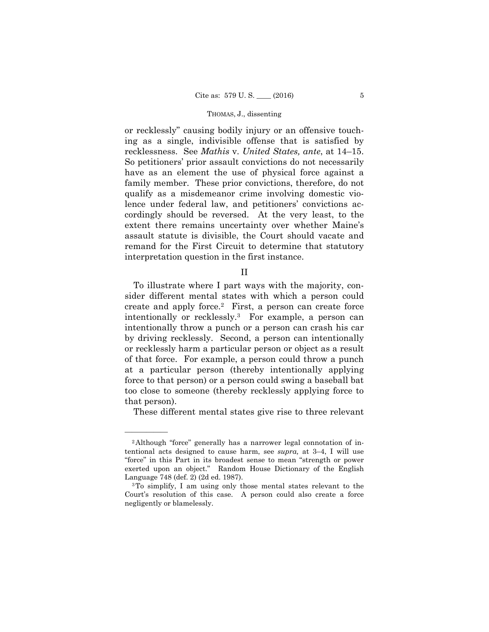or recklessly" causing bodily injury or an offensive touching as a single, indivisible offense that is satisfied by recklessness. See *Mathis* v. *United States, ante*, at 14–15. So petitioners' prior assault convictions do not necessarily have as an element the use of physical force against a family member. These prior convictions, therefore, do not qualify as a misdemeanor crime involving domestic violence under federal law, and petitioners' convictions accordingly should be reversed. At the very least, to the extent there remains uncertainty over whether Maine's assault statute is divisible, the Court should vacate and remand for the First Circuit to determine that statutory interpretation question in the first instance.

II

To illustrate where I part ways with the majority, consider different mental states with which a person could create and apply force.2 First, a person can create force intentionally or recklessly.3 For example, a person can intentionally throw a punch or a person can crash his car by driving recklessly. Second, a person can intentionally or recklessly harm a particular person or object as a result of that force. For example, a person could throw a punch at a particular person (thereby intentionally applying force to that person) or a person could swing a baseball bat too close to someone (thereby recklessly applying force to that person).

These different mental states give rise to three relevant

<sup>2</sup>Although "force" generally has a narrower legal connotation of intentional acts designed to cause harm, see *supra,* at 3–4, I will use "force" in this Part in its broadest sense to mean "strength or power exerted upon an object." Random House Dictionary of the English Language 748 (def. 2) (2d ed. 1987).

<sup>3</sup>To simplify, I am using only those mental states relevant to the Court's resolution of this case. A person could also create a force negligently or blamelessly.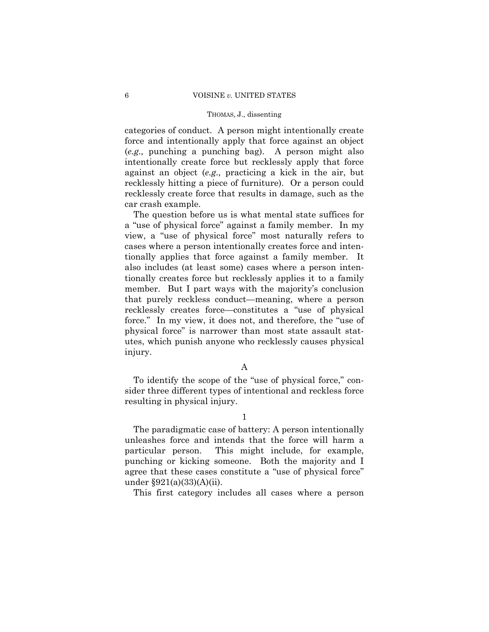categories of conduct. A person might intentionally create force and intentionally apply that force against an object (*e.g.,* punching a punching bag). A person might also intentionally create force but recklessly apply that force against an object (*e.g.,* practicing a kick in the air, but recklessly hitting a piece of furniture). Or a person could recklessly create force that results in damage, such as the car crash example.

The question before us is what mental state suffices for a "use of physical force" against a family member. In my view, a "use of physical force" most naturally refers to cases where a person intentionally creates force and intentionally applies that force against a family member. It also includes (at least some) cases where a person intentionally creates force but recklessly applies it to a family member. But I part ways with the majority's conclusion that purely reckless conduct—meaning, where a person recklessly creates force—constitutes a "use of physical force." In my view, it does not, and therefore, the "use of physical force" is narrower than most state assault statutes, which punish anyone who recklessly causes physical injury.

A

To identify the scope of the "use of physical force," consider three different types of intentional and reckless force resulting in physical injury.

1

The paradigmatic case of battery: A person intentionally unleashes force and intends that the force will harm a particular person. This might include, for example, punching or kicking someone. Both the majority and I agree that these cases constitute a "use of physical force" under §921(a)(33)(A)(ii).

This first category includes all cases where a person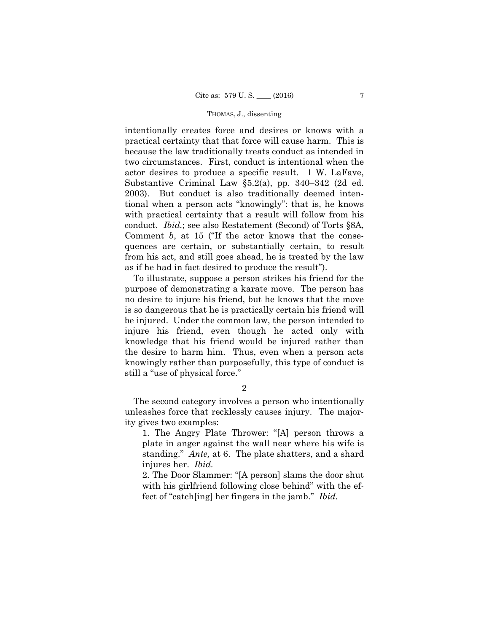conduct. *Ibid.*; see also Restatement (Second) of Torts §8A, intentionally creates force and desires or knows with a practical certainty that that force will cause harm. This is because the law traditionally treats conduct as intended in two circumstances. First, conduct is intentional when the actor desires to produce a specific result. 1 W. LaFave, Substantive Criminal Law §5.2(a), pp. 340–342 (2d ed. 2003). But conduct is also traditionally deemed intentional when a person acts "knowingly": that is, he knows with practical certainty that a result will follow from his Comment *b*, at 15 ("If the actor knows that the consequences are certain, or substantially certain, to result from his act, and still goes ahead, he is treated by the law as if he had in fact desired to produce the result").

To illustrate, suppose a person strikes his friend for the purpose of demonstrating a karate move. The person has no desire to injure his friend, but he knows that the move is so dangerous that he is practically certain his friend will be injured. Under the common law, the person intended to injure his friend, even though he acted only with knowledge that his friend would be injured rather than the desire to harm him. Thus, even when a person acts knowingly rather than purposefully, this type of conduct is still a "use of physical force."

2

The second category involves a person who intentionally unleashes force that recklessly causes injury. The majority gives two examples:

1. The Angry Plate Thrower: "[A] person throws a plate in anger against the wall near where his wife is standing." *Ante,* at 6. The plate shatters, and a shard injures her. *Ibid.* 

2. The Door Slammer: "[A person] slams the door shut with his girlfriend following close behind" with the effect of "catch[ing] her fingers in the jamb." *Ibid.*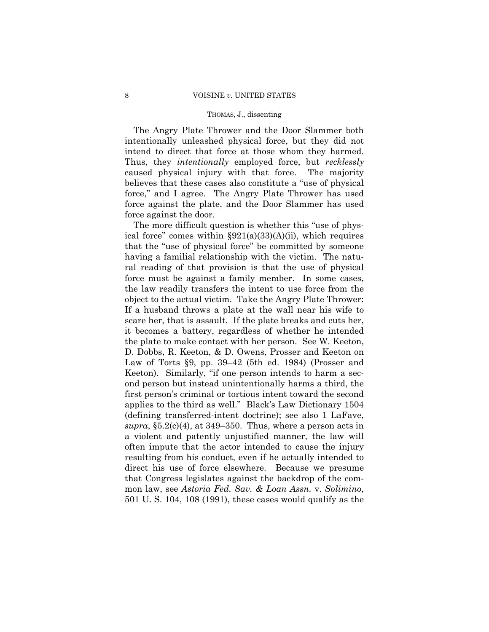The Angry Plate Thrower and the Door Slammer both intentionally unleashed physical force, but they did not intend to direct that force at those whom they harmed. Thus, they *intentionally* employed force, but *recklessly*  caused physical injury with that force. The majority believes that these cases also constitute a "use of physical force," and I agree. The Angry Plate Thrower has used force against the plate, and the Door Slammer has used force against the door.

The more difficult question is whether this "use of physical force" comes within  $\S 921(a)(33)(A)(ii)$ , which requires that the "use of physical force" be committed by someone having a familial relationship with the victim. The natural reading of that provision is that the use of physical force must be against a family member. In some cases, the law readily transfers the intent to use force from the object to the actual victim. Take the Angry Plate Thrower: If a husband throws a plate at the wall near his wife to scare her, that is assault. If the plate breaks and cuts her, it becomes a battery, regardless of whether he intended the plate to make contact with her person. See W. Keeton, D. Dobbs, R. Keeton, & D. Owens, Prosser and Keeton on Law of Torts §9, pp. 39–42 (5th ed. 1984) (Prosser and Keeton). Similarly, "if one person intends to harm a second person but instead unintentionally harms a third, the first person's criminal or tortious intent toward the second applies to the third as well." Black's Law Dictionary 1504 (defining transferred-intent doctrine); see also 1 LaFave, *supra*, §5.2(c)(4), at 349–350. Thus, where a person acts in a violent and patently unjustified manner, the law will often impute that the actor intended to cause the injury resulting from his conduct, even if he actually intended to direct his use of force elsewhere. Because we presume that Congress legislates against the backdrop of the common law, see *Astoria Fed. Sav. & Loan Assn.* v. *Solimino*, 501 U. S. 104, 108 (1991), these cases would qualify as the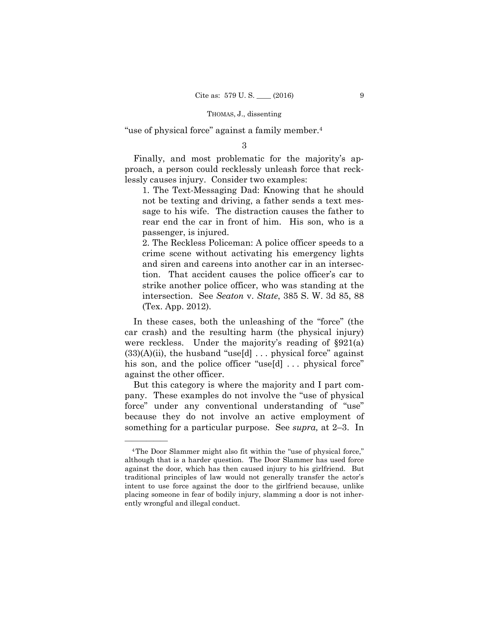"use of physical force" against a family member.4

3

 lessly causes injury. Consider two examples: Finally, and most problematic for the majority's approach, a person could recklessly unleash force that reck-

1. The Text-Messaging Dad: Knowing that he should not be texting and driving, a father sends a text message to his wife. The distraction causes the father to rear end the car in front of him. His son, who is a passenger, is injured.

2. The Reckless Policeman: A police officer speeds to a crime scene without activating his emergency lights and siren and careens into another car in an intersection. That accident causes the police officer's car to strike another police officer, who was standing at the intersection. See *Seaton* v. *State*, 385 S. W. 3d 85, 88 (Tex. App. 2012).

In these cases, both the unleashing of the "force" (the car crash) and the resulting harm (the physical injury) were reckless. Under the majority's reading of §921(a)  $(33)(A)(ii)$ , the husband "use[d] ... physical force" against his son, and the police officer "use[d] ... physical force" against the other officer.

But this category is where the majority and I part company. These examples do not involve the "use of physical force" under any conventional understanding of "use" because they do not involve an active employment of something for a particular purpose. See *supra,* at 2–3. In

<sup>4</sup>The Door Slammer might also fit within the "use of physical force," although that is a harder question. The Door Slammer has used force against the door, which has then caused injury to his girlfriend. But traditional principles of law would not generally transfer the actor's intent to use force against the door to the girlfriend because, unlike placing someone in fear of bodily injury, slamming a door is not inherently wrongful and illegal conduct.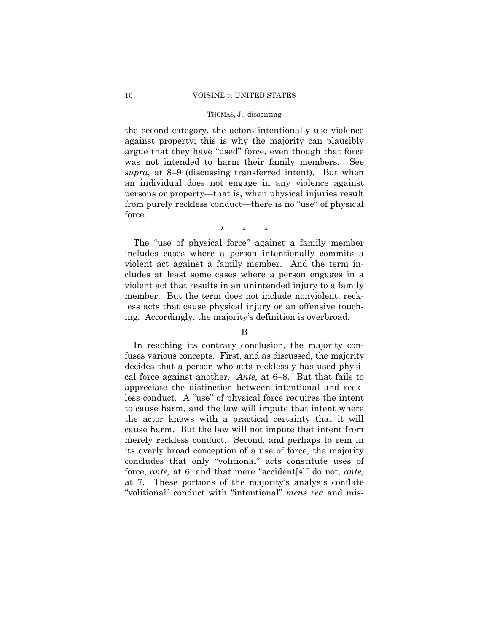the second category, the actors intentionally use violence against property; this is why the majority can plausibly argue that they have "used" force, even though that force was not intended to harm their family members. See *supra,* at 8–9 (discussing transferred intent). But when an individual does not engage in any violence against persons or property—that is, when physical injuries result from purely reckless conduct—there is no "use" of physical force.

\* \* \*

The "use of physical force" against a family member includes cases where a person intentionally commits a violent act against a family member. And the term includes at least some cases where a person engages in a violent act that results in an unintended injury to a family member. But the term does not include nonviolent, reckless acts that cause physical injury or an offensive touching. Accordingly, the majority's definition is overbroad.

## B

In reaching its contrary conclusion, the majority confuses various concepts. First, and as discussed, the majority decides that a person who acts recklessly has used physical force against another. *Ante,* at 6–8. But that fails to appreciate the distinction between intentional and reckless conduct. A "use" of physical force requires the intent to cause harm, and the law will impute that intent where the actor knows with a practical certainty that it will cause harm. But the law will not impute that intent from merely reckless conduct. Second, and perhaps to rein in its overly broad conception of a use of force, the majority concludes that only "volitional" acts constitute uses of force, *ante,* at 6, and that mere "accident[s]" do not, *ante,*  at 7. These portions of the majority's analysis conflate "volitional" conduct with "intentional" *mens rea* and mis-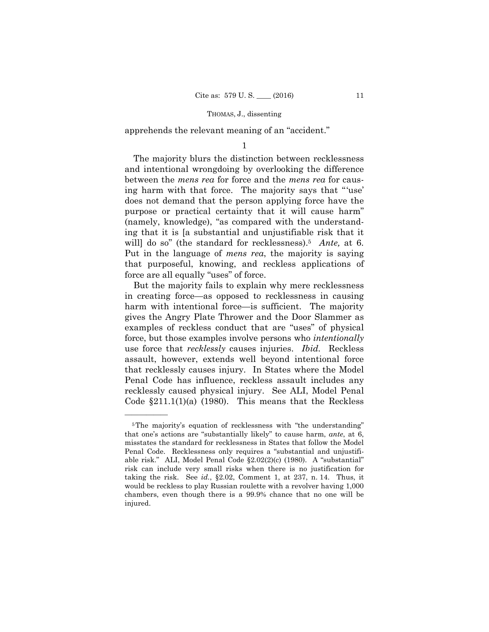apprehends the relevant meaning of an "accident."

1

will] do so" (the standard for recklessness).<sup>5</sup> *Ante*, at 6. The majority blurs the distinction between recklessness and intentional wrongdoing by overlooking the difference between the *mens rea* for force and the *mens rea* for causing harm with that force. The majority says that "'use' does not demand that the person applying force have the purpose or practical certainty that it will cause harm" (namely, knowledge), "as compared with the understanding that it is [a substantial and unjustifiable risk that it Put in the language of *mens rea*, the majority is saying that purposeful, knowing, and reckless applications of force are all equally "uses" of force.

But the majority fails to explain why mere recklessness in creating force—as opposed to recklessness in causing harm with intentional force—is sufficient. The majority gives the Angry Plate Thrower and the Door Slammer as examples of reckless conduct that are "uses" of physical force, but those examples involve persons who *intentionally*  use force that *recklessly* causes injuries. *Ibid.* Reckless assault, however, extends well beyond intentional force that recklessly causes injury. In States where the Model Penal Code has influence, reckless assault includes any recklessly caused physical injury. See ALI, Model Penal Code  $\S211.1(1)(a)$  (1980). This means that the Reckless

<sup>&</sup>lt;sup>5</sup>The majority's equation of recklessness with "the understanding" that one's actions are "substantially likely" to cause harm, *ante*, at 6, misstates the standard for recklessness in States that follow the Model Penal Code. Recklessness only requires a "substantial and unjustifiable risk." ALI, Model Penal Code §2.02(2)(c) (1980). A "substantial" risk can include very small risks when there is no justification for taking the risk. See *id.*, §2.02, Comment 1, at 237, n. 14. Thus, it would be reckless to play Russian roulette with a revolver having 1,000 chambers, even though there is a 99.9% chance that no one will be injured.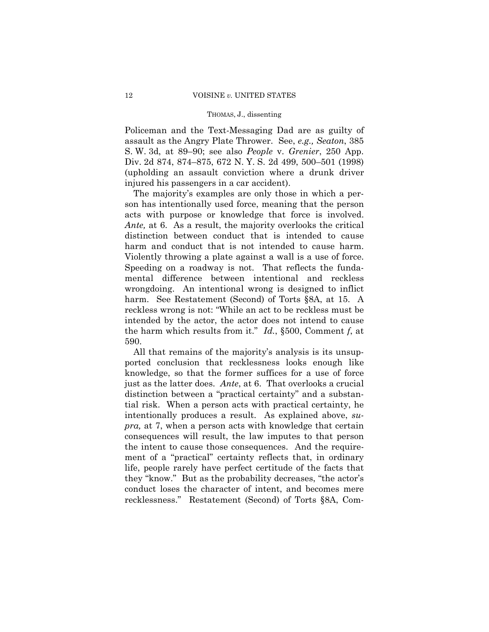Policeman and the Text-Messaging Dad are as guilty of assault as the Angry Plate Thrower. See, *e.g., Seaton*, 385 S. W. 3d, at 89–90; see also *People* v. *Grenier*, 250 App. Div. 2d 874, 874–875, 672 N. Y. S. 2d 499, 500–501 (1998) (upholding an assault conviction where a drunk driver injured his passengers in a car accident).

The majority's examples are only those in which a person has intentionally used force, meaning that the person acts with purpose or knowledge that force is involved. *Ante,* at 6. As a result, the majority overlooks the critical distinction between conduct that is intended to cause harm and conduct that is not intended to cause harm. Violently throwing a plate against a wall is a use of force. Speeding on a roadway is not. That reflects the fundamental difference between intentional and reckless wrongdoing. An intentional wrong is designed to inflict harm. See Restatement (Second) of Torts §8A, at 15. A reckless wrong is not: "While an act to be reckless must be intended by the actor, the actor does not intend to cause the harm which results from it." *Id.*, §500, Comment *f*, at 590.

All that remains of the majority's analysis is its unsupported conclusion that recklessness looks enough like knowledge, so that the former suffices for a use of force just as the latter does. *Ante*, at 6. That overlooks a crucial distinction between a "practical certainty" and a substantial risk. When a person acts with practical certainty, he intentionally produces a result. As explained above, *supra,* at 7, when a person acts with knowledge that certain consequences will result, the law imputes to that person the intent to cause those consequences. And the requirement of a "practical" certainty reflects that, in ordinary life, people rarely have perfect certitude of the facts that they "know." But as the probability decreases, "the actor's conduct loses the character of intent, and becomes mere recklessness." Restatement (Second) of Torts §8A, Com-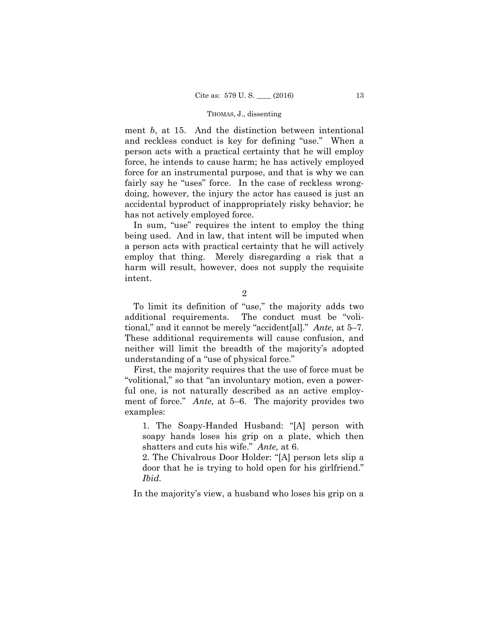ment *b*, at 15. And the distinction between intentional and reckless conduct is key for defining "use." When a person acts with a practical certainty that he will employ force, he intends to cause harm; he has actively employed force for an instrumental purpose, and that is why we can fairly say he "uses" force. In the case of reckless wrongdoing, however, the injury the actor has caused is just an accidental byproduct of inappropriately risky behavior; he has not actively employed force.

In sum, "use" requires the intent to employ the thing being used. And in law, that intent will be imputed when a person acts with practical certainty that he will actively employ that thing. Merely disregarding a risk that a harm will result, however, does not supply the requisite intent.

2

 tional," and it cannot be merely "accident[al]." *Ante,* at 5–7. To limit its definition of "use," the majority adds two additional requirements. The conduct must be "voli-These additional requirements will cause confusion, and neither will limit the breadth of the majority's adopted understanding of a "use of physical force."

First, the majority requires that the use of force must be "volitional," so that "an involuntary motion, even a powerful one, is not naturally described as an active employment of force." *Ante,* at 5–6. The majority provides two examples:

1. The Soapy-Handed Husband: "[A] person with soapy hands loses his grip on a plate, which then shatters and cuts his wife." *Ante,* at 6.

2. The Chivalrous Door Holder: "[A] person lets slip a door that he is trying to hold open for his girlfriend." *Ibid.* 

In the majority's view, a husband who loses his grip on a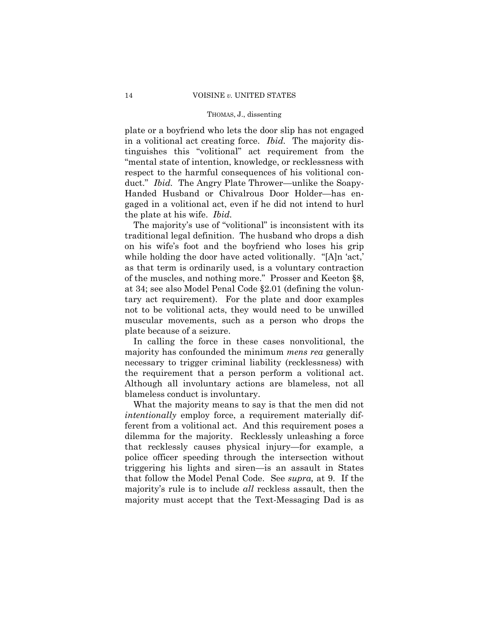plate or a boyfriend who lets the door slip has not engaged in a volitional act creating force. *Ibid.* The majority distinguishes this "volitional" act requirement from the "mental state of intention, knowledge, or recklessness with respect to the harmful consequences of his volitional conduct." *Ibid.* The Angry Plate Thrower—unlike the Soapy-Handed Husband or Chivalrous Door Holder—has engaged in a volitional act, even if he did not intend to hurl the plate at his wife. *Ibid.* 

The majority's use of "volitional" is inconsistent with its traditional legal definition. The husband who drops a dish on his wife's foot and the boyfriend who loses his grip while holding the door have acted volitionally. "[A]n 'act,' as that term is ordinarily used, is a voluntary contraction of the muscles, and nothing more." Prosser and Keeton §8, at 34; see also Model Penal Code §2.01 (defining the voluntary act requirement). For the plate and door examples not to be volitional acts, they would need to be unwilled muscular movements, such as a person who drops the plate because of a seizure.

In calling the force in these cases nonvolitional, the majority has confounded the minimum *mens rea* generally necessary to trigger criminal liability (recklessness) with the requirement that a person perform a volitional act. Although all involuntary actions are blameless, not all blameless conduct is involuntary.

What the majority means to say is that the men did not *intentionally* employ force, a requirement materially different from a volitional act. And this requirement poses a dilemma for the majority. Recklessly unleashing a force that recklessly causes physical injury—for example, a police officer speeding through the intersection without triggering his lights and siren—is an assault in States that follow the Model Penal Code. See *supra,* at 9. If the majority's rule is to include *all* reckless assault, then the majority must accept that the Text-Messaging Dad is as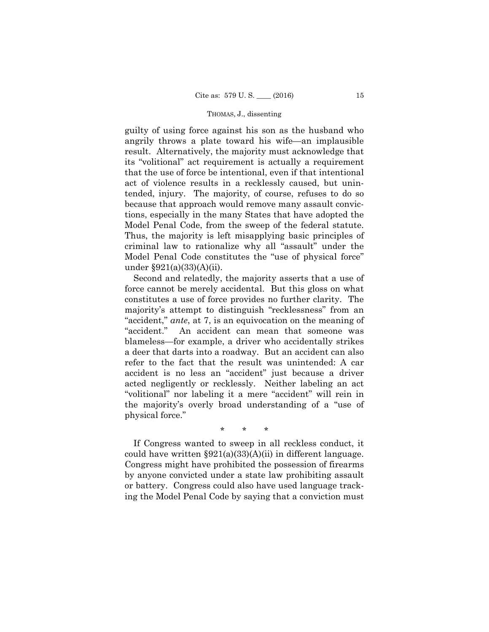guilty of using force against his son as the husband who angrily throws a plate toward his wife—an implausible result. Alternatively, the majority must acknowledge that its "volitional" act requirement is actually a requirement that the use of force be intentional, even if that intentional act of violence results in a recklessly caused, but unintended, injury. The majority, of course, refuses to do so because that approach would remove many assault convictions, especially in the many States that have adopted the Model Penal Code, from the sweep of the federal statute. Thus, the majority is left misapplying basic principles of criminal law to rationalize why all "assault" under the Model Penal Code constitutes the "use of physical force" under §921(a)(33)(A)(ii).

Second and relatedly, the majority asserts that a use of force cannot be merely accidental. But this gloss on what constitutes a use of force provides no further clarity. The majority's attempt to distinguish "recklessness" from an "accident," *ante*, at 7, is an equivocation on the meaning of "accident." An accident can mean that someone was blameless—for example, a driver who accidentally strikes a deer that darts into a roadway. But an accident can also refer to the fact that the result was unintended: A car accident is no less an "accident" just because a driver acted negligently or recklessly. Neither labeling an act "volitional" nor labeling it a mere "accident" will rein in the majority's overly broad understanding of a "use of physical force."

\* \* \*

 could have written §921(a)(33)(A)(ii) in different language. If Congress wanted to sweep in all reckless conduct, it Congress might have prohibited the possession of firearms by anyone convicted under a state law prohibiting assault or battery. Congress could also have used language tracking the Model Penal Code by saying that a conviction must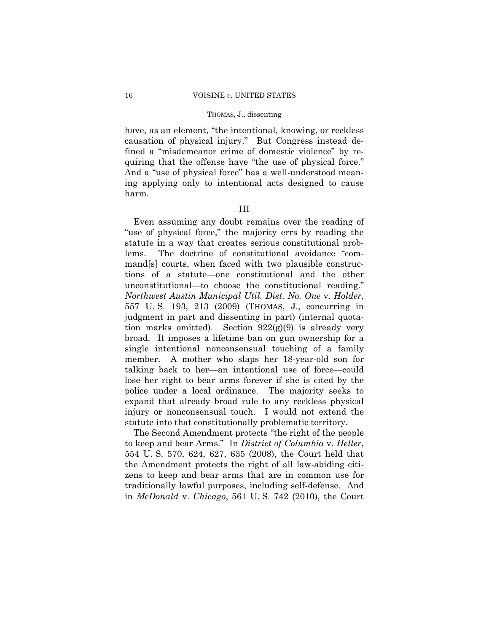have, as an element, "the intentional, knowing, or reckless causation of physical injury." But Congress instead defined a "misdemeanor crime of domestic violence" by requiring that the offense have "the use of physical force." And a "use of physical force" has a well-understood meaning applying only to intentional acts designed to cause harm.

## III

Even assuming any doubt remains over the reading of "use of physical force," the majority errs by reading the statute in a way that creates serious constitutional problems. The doctrine of constitutional avoidance "command[s] courts, when faced with two plausible constructions of a statute—one constitutional and the other unconstitutional—to choose the constitutional reading." *Northwest Austin Municipal Util. Dist. No. One* v. *Holder*, 557 U. S. 193, 213 (2009) (THOMAS, J., concurring in judgment in part and dissenting in part) (internal quotation marks omitted). Section  $922(g)(9)$  is already very broad. It imposes a lifetime ban on gun ownership for a single intentional nonconsensual touching of a family member. A mother who slaps her 18-year-old son for talking back to her—an intentional use of force—could lose her right to bear arms forever if she is cited by the police under a local ordinance. The majority seeks to expand that already broad rule to any reckless physical injury or nonconsensual touch. I would not extend the statute into that constitutionally problematic territory.

The Second Amendment protects "the right of the people to keep and bear Arms." In *District of Columbia* v. *Heller*, 554 U. S. 570, 624, 627, 635 (2008), the Court held that the Amendment protects the right of all law-abiding citizens to keep and bear arms that are in common use for traditionally lawful purposes, including self-defense. And in *McDonald* v. *Chicago*, 561 U. S. 742 (2010), the Court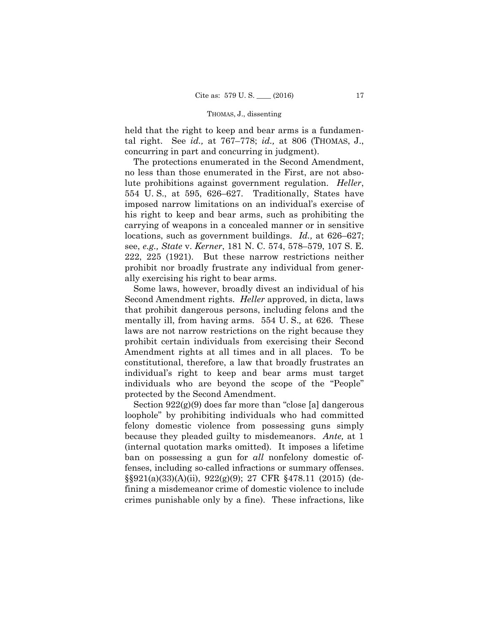held that the right to keep and bear arms is a fundamental right. See *id.,* at 767–778; *id.,* at 806 (THOMAS, J., concurring in part and concurring in judgment).

The protections enumerated in the Second Amendment, no less than those enumerated in the First, are not absolute prohibitions against government regulation. *Heller*, 554 U. S., at 595, 626–627. Traditionally, States have imposed narrow limitations on an individual's exercise of his right to keep and bear arms, such as prohibiting the carrying of weapons in a concealed manner or in sensitive locations, such as government buildings. *Id.,* at 626–627; see, *e.g., State* v. *Kerner*, 181 N. C. 574, 578–579, 107 S. E. 222, 225 (1921). But these narrow restrictions neither prohibit nor broadly frustrate any individual from generally exercising his right to bear arms.

Some laws, however, broadly divest an individual of his Second Amendment rights. *Heller* approved, in dicta, laws that prohibit dangerous persons, including felons and the mentally ill, from having arms. 554 U. S.*,* at 626. These laws are not narrow restrictions on the right because they prohibit certain individuals from exercising their Second Amendment rights at all times and in all places. To be constitutional, therefore, a law that broadly frustrates an individual's right to keep and bear arms must target individuals who are beyond the scope of the "People" protected by the Second Amendment.

 because they pleaded guilty to misdemeanors. *Ante,* at 1 Section 922(g)(9) does far more than "close [a] dangerous loophole" by prohibiting individuals who had committed felony domestic violence from possessing guns simply (internal quotation marks omitted). It imposes a lifetime ban on possessing a gun for *all* nonfelony domestic offenses, including so-called infractions or summary offenses. §§921(a)(33)(A)(ii), 922(g)(9); 27 CFR §478.11 (2015) (defining a misdemeanor crime of domestic violence to include crimes punishable only by a fine). These infractions, like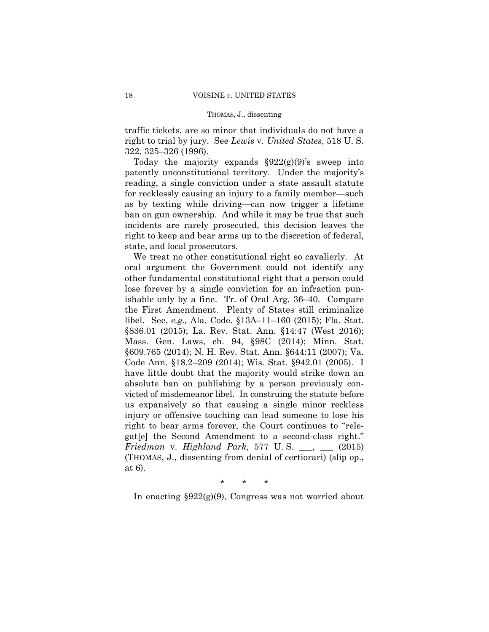traffic tickets, are so minor that individuals do not have a right to trial by jury. See *Lewis* v. *United States*, 518 U. S. 322, 325–326 (1996).

Today the majority expands  $\S 922(g)(9)$ 's sweep into patently unconstitutional territory. Under the majority's reading, a single conviction under a state assault statute for recklessly causing an injury to a family member—such as by texting while driving—can now trigger a lifetime ban on gun ownership. And while it may be true that such incidents are rarely prosecuted, this decision leaves the right to keep and bear arms up to the discretion of federal, state, and local prosecutors.

We treat no other constitutional right so cavalierly. At oral argument the Government could not identify any other fundamental constitutional right that a person could lose forever by a single conviction for an infraction punishable only by a fine. Tr. of Oral Arg. 36–40. Compare the First Amendment. Plenty of States still criminalize libel. See, *e.g.,* Ala. Code. §13A–11–160 (2015); Fla. Stat. §836.01 (2015); La. Rev. Stat. Ann. §14:47 (West 2016); Mass. Gen. Laws, ch. 94, §98C (2014); Minn. Stat. §609.765 (2014); N. H. Rev. Stat. Ann. §644:11 (2007); Va. Code Ann. §18.2–209 (2014); Wis. Stat. §942.01 (2005). I have little doubt that the majority would strike down an absolute ban on publishing by a person previously convicted of misdemeanor libel. In construing the statute before us expansively so that causing a single minor reckless injury or offensive touching can lead someone to lose his right to bear arms forever, the Court continues to "relegat[e] the Second Amendment to a second-class right." *Friedman* v. *Highland Park*, 577 U. S. \_\_\_, \_\_\_ (2015) (THOMAS, J., dissenting from denial of certiorari) (slip op., at 6).

\* \* \*

In enacting §922(g)(9), Congress was not worried about